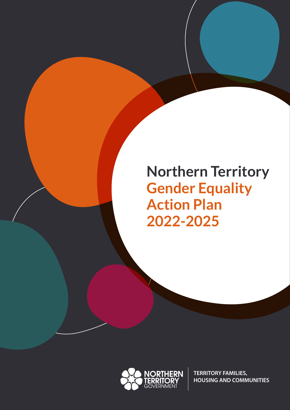# **Northern Territory Gender Equality Action Plan 2022-2025**



**TERRITORY FAMILIES, HOUSING AND COMMUNITIES**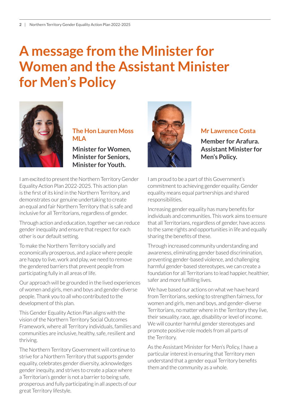# **A message from the Minister for Women and the Assistant Minister for Men's Policy**



**The Hon Lauren Moss MLA**

**Minister for Women, Minister for Seniors, Minister for Youth.**

I am excited to present the Northern Territory Gender Equality Action Plan 2022-2025. This action plan is the first of its kind in the Northern Territory, and demonstrates our genuine undertaking to create an equal and fair Northern Territory that is safe and inclusive for all Territorians, regardless of gender.

Through action and education, together we can reduce gender inequality and ensure that respect for each other is our default setting.

To make the Northern Territory socially and economically prosperous, and a place where people are happy to live, work and play, we need to remove the gendered barriers that prevent people from participating fully in all areas of life.

Our approach will be grounded in the lived experiences of women and girls, men and boys and gender-diverse people. Thank you to all who contributed to the development of this plan.

This Gender Equality Action Plan aligns with the vision of the Northern Territory Social Outcomes Framework, where all Territory individuals, families and communities are inclusive, healthy, safe, resilient and thriving.

The Northern Territory Government will continue to strive for a Northern Territory that supports gender equality, celebrates gender diversity, acknowledges gender inequity, and strives to create a place where a Territorian's gender is not a barrier to being safe, prosperous and fully participating in all aspects of our great Territory lifestyle.



### **Mr Lawrence Costa**

**Member for Arafura. Assistant Minister for Men's Policy.**

I am proud to be a part of this Government's commitment to achieving gender equality. Gender equality means equal partnerships and shared responsibilities.

Increasing gender equality has many benefits for individuals and communities. This work aims to ensure that all Territorians, regardless of gender, have access to the same rights and opportunities in life and equally sharing the benefits of these.

Through increased community understanding and awareness, eliminating gender based discrimination, preventing gender-based violence, and challenging harmful gender-based stereotypes, we can create a foundation for all Territorians to lead happier, healthier, safer and more fulfilling lives.

We have based our actions on what we have heard from Territorians, seeking to strengthen fairness, for women and girls, men and boys, and gender-diverse Territorians, no matter where in the Territory they live, their sexuality, race, age, disability or level of income. We will counter harmful gender stereotypes and promote positive role models from all parts of the Territory.

As the Assistant Minister for Men's Policy, I have a particular interest in ensuring that Territory men understand that a gender equal Territory benefits them and the community as a whole.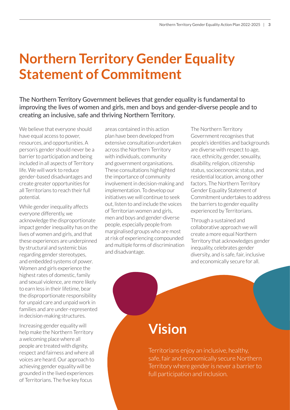# **Northern Territory Gender Equality Statement of Commitment**

The Northern Territory Government believes that gender equality is fundamental to improving the lives of women and girls, men and boys and gender-diverse people and to creating an inclusive, safe and thriving Northern Territory.

We believe that everyone should have equal access to power, resources, and opportunities. A person's gender should never be a barrier to participation and being included in all aspects of Territory life. We will work to reduce gender-based disadvantages and create greater opportunities for all Territorians to reach their full potential.

While gender inequality affects everyone differently, we acknowledge the disproportionate impact gender inequality has on the lives of women and girls, and that these experiences are underpinned by structural and systemic bias regarding gender stereotypes, and embedded systems of power. Women and girls experience the highest rates of domestic, family and sexual violence, are more likely to earn less in their lifetime, bear the disproportionate responsibility for unpaid care and unpaid work in families and are under-represented in decision-making structures.

Increasing gender equality will help make the Northern Territory a welcoming place where all people are treated with dignity, respect and fairness and where all voices are heard. Our approach to achieving gender equality will be grounded in the lived experiences of Territorians. The five key focus

areas contained in this action plan have been developed from extensive consultation undertaken across the Northern Territory with individuals, community and government organisations. These consultations highlighted the importance of community involvement in decision-making and implementation. To develop our initiatives we will continue to seek out, listen to and include the voices of Territorian women and girls, men and boys and gender-diverse people, especially people from marginalised groups who are most at risk of experiencing compounded and multiple forms of discrimination and disadvantage.

The Northern Territory Government recognises that people's identities and backgrounds are diverse with respect to age, race, ethnicity, gender, sexuality, disability, religion, citizenship status, socioeconomic status, and residential location, among other factors. The Northern Territory Gender Equality Statement of Commitment undertakes to address the barriers to gender equality experienced by Territorians.

Through a sustained and collaborative approach we will create a more equal Northern Territory that acknowledges gender inequality, celebrates gender diversity, and is safe, fair, inclusive and economically secure for all.

# **Vision**

Territorians enjoy an inclusive, healthy, safe, fair and economically secure Northern Territory where gender is never a barrier to full participation and inclusion.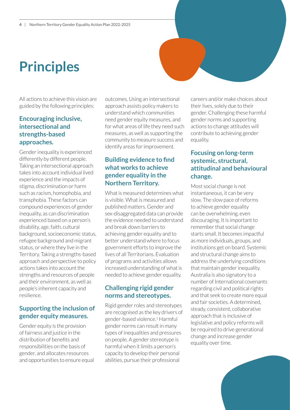# **Principles**

All actions to achieve this vision are guided by the following principles:

## **Encouraging inclusive, intersectional and strengths-based approaches.**

Gender inequality is experienced differently by different people. Taking an intersectional approach takes into account individual lived experience and the impacts of stigma, discrimination or harm such as racism, homophobia, and transphobia. These factors can compound experiences of gender inequality, as can discrimination experienced based on a person's disability, age, faith, cultural background, socioeconomic status, refugee background and migrant status, or where they live in the Territory. Taking a strengths-based approach and perspective to policy actions takes into account the strengths and resources of people and their environment, as well as people's inherent capacity and resilience.

# **Supporting the inclusion of gender equity measures.**

Gender equity is the provision of fairness and justice in the distribution of benefits and responsibilities on the basis of gender, and allocates resources and opportunities to ensure equal outcomes. Using an intersectional approach assists policy makers to understand which communities need gender equity measures, and for what areas of life they need such measures, as well as supporting the community to measure success and identify areas for improvement.

### **Building evidence to find what works to achieve gender equality in the Northern Territory.**

What is measured determines what is visible. What is measured and published matters. Gender and sex-disaggregated data can provide the evidence needed to understand and break down barriers to achieving gender equality and to better understand where to focus government efforts to improve the lives of all Territorians. Evaluation of programs and activities allows increased understanding of what is needed to achieve gender equality.

### **Challenging rigid gender norms and stereotypes.**

Rigid gender roles and stereotypes are recognised as the key drivers of gender-based violence.1 Harmful gender norms can result in many types of inequalities and pressures on people. A gender stereotype is harmful when it limits a person's capacity to develop their personal abilities, pursue their professional

careers and/or make choices about their lives, solely due to their gender. Challenging these harmful gender norms and supporting actions to change attitudes will contribute to achieving gender equality.

## **Focusing on long-term systemic, structural, attitudinal and behavioural change.**

Most social change is not instantaneous, it can be very slow. The slow pace of reforms to achieve gender equality can be overwhelming, even discouraging. It is important to remember that social change starts small. It becomes impactful as more individuals, groups, and institutions get on board. Systemic and structural change aims to address the underlying conditions that maintain gender inequality. Australia is also signatory to a number of International covenants regarding civil and political rights and that seek to create more equal and fair societies. A determined, steady, consistent, collaborative approach that is inclusive of legislative and policy reforms will be required to drive generational change and increase gender equality over time.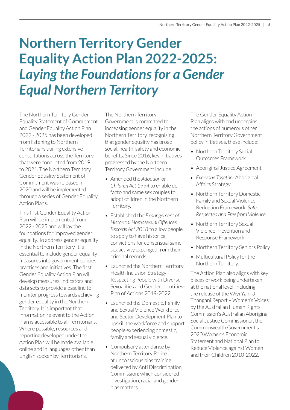# **Northern Territory Gender Equality Action Plan 2022-2025:**  *Laying the Foundations for a Gender Equal Northern Territory*

The Northern Territory Gender Equality Statement of Commitment and Gender Equality Action Plan 2022 - 2025 has been developed from listening to Northern Territorians during extensive consultations across the Territory that were conducted from 2019 to 2021. The Northern Territory Gender Equality Statement of Commitment was released in 2020 and will be implemented through a series of Gender Equality Action Plans.

This first Gender Equality Action Plan will be implemented from 2022 - 2025 and will lay the foundations for improved gender equality. To address gender equality in the Northern Territory, it is essential to include gender equality measures into government policies, practices and initiatives. The first Gender Equality Action Plan will develop measures, indicators and data sets to provide a baseline to monitor progress towards achieving gender equality in the Northern Territory. It is important that information relevant to the Action Plan is accessible to all Territorians. Where possible, resources and reporting developed under the Action Plan will be made available online and in languages other than English spoken by Territorians.

The Northern Territory Government is committed to increasing gender equality in the Northern Territory, recognising that gender equality has broad social, health, safety and economic benefits. Since 2016, key initiatives progressed by the Northern Territory Government include:

- Amended the *Adoption of Children Act 1994* to enable de facto and same sex couples to adopt children in the Northern Territory.
- Established the *Expungement of Historical Homosexual Offences Records Act 2018* to allow people to apply to have historical convictions for consensual samesex activity expunged from their criminal records.
- Launched the Northern Territory Health Inclusion Strategy: Respecting People with Diverse Sexualities and Gender Identities-Plan of Actions 2019-2022.
- Launched the Domestic, Family and Sexual Violence Workforce and Sector Development Plan to upskill the workforce and support people experiencing domestic, family and sexual violence.
- Compulsory attendance by Northern Territory Police at unconscious bias training delivered by Anti Discrimination Commission; which considered investigation, racial and gender bias matters.

The Gender Equality Action Plan aligns with and underpins the actions of numerous other Northern Territory Government policy initiatives, these include:

- Northern Territory Social Outcomes Framework
- Aboriginal Justice Agreement
- *Everyone Together* Aboriginal Affairs Strategy
- Northern Territory Domestic. Family and Sexual Violence Reduction Framework: *Safe, Respected and Free from Violence*
- Northern Territory Sexual Violence Prevention and Response Framework
- Northern Territory Seniors Policy
- Multicultural Policy for the Northern Territory.

The Action Plan also aligns with key pieces of work being undertaken at the national level, including the release of the Wiyi Yani U Thangani Report – Women's Voices by the Australian Human Rights Commission's Australian Aboriginal Social Justice Commissioner, the Commonwealth Government's 2020 Women's Economic Statement and National Plan to Reduce Violence against Women and their Children 2010-2022.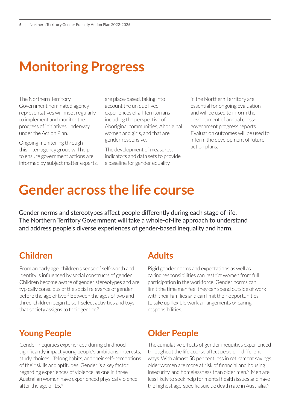# **Monitoring Progress**

The Northern Territory Government nominated agency representatives will meet regularly to implement and monitor the progress of initiatives underway under the Action Plan.

Ongoing monitoring through this inter-agency group will help to ensure government actions are informed by subject matter experts, are place-based, taking into account the unique lived experiences of all Territorians including the perspective of Aboriginal communities, Aboriginal women and girls, and that are gender responsive.

The development of measures, indicators and data sets to provide a baseline for gender equality

in the Northern Territory are essential for ongoing evaluation and will be used to inform the development of annual crossgovernment progress reports. Evaluation outcomes will be used to inform the development of future action plans.

# **Gender across the life course**

Gender norms and stereotypes affect people differently during each stage of life. The Northern Territory Government will take a whole-of-life approach to understand and address people's diverse experiences of gender-based inequality and harm.

# **Children Adults**

From an early age, children's sense of self-worth and identity is influenced by social constructs of gender. Children become aware of gender stereotypes and are typically conscious of the social relevance of gender before the age of two.<sup>2</sup> Between the ages of two and three, children begin to self-select activities and toys that society assigns to their gender.<sup>3</sup>

# **Young People Older People**

Gender inequities experienced during childhood significantly impact young people's ambitions, interests, study choices, lifelong habits, and their self-perceptions of their skills and aptitudes. Gender is a key factor regarding experiences of violence, as one in three Australian women have experienced physical violence after the age of 15.<sup>4</sup>

Rigid gender norms and expectations as well as caring responsibilities can restrict women from full participation in the workforce. Gender norms can limit the time men feel they can spend outside of work with their families and can limit their opportunities to take up flexible work arrangements or caring responsibilities.

The cumulative effects of gender inequities experienced throughout the life course affect people in different ways. With almost 50 per cent less in retirement savings, older women are more at risk of financial and housing insecurity, and homelessness than older men.<sup>5</sup> Men are less likely to seek help for mental health issues and have the highest age-specific suicide death rate in Australia.<sup>6</sup>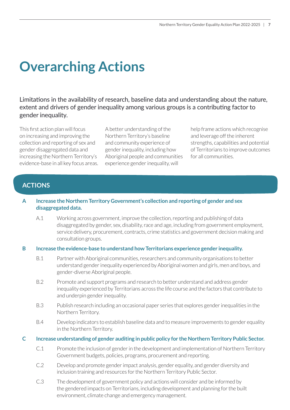# **Overarching Actions**

Limitations in the availability of research, baseline data and understanding about the nature, extent and drivers of gender inequality among various groups is a contributing factor to gender inequality.

This first action plan will focus on increasing and improving the collection and reporting of sex and gender disaggregated data and increasing the Northern Territory's evidence-base in all key focus areas. A better understanding of the Northern Territory's baseline and community experience of gender inequality, including how Aboriginal people and communities experience gender inequality, will

help frame actions which recognise and leverage off the inherent strengths, capabilities and potential of Territorians to improve outcomes for all communities.

# **ACTIONS**

### **A Increase the Northern Territory Government's collection and reporting of gender and sex disaggregated data.**

A.1 Working across government, improve the collection, reporting and publishing of data disaggregated by gender, sex, disability, race and age, including from government employment, service delivery, procurement, contracts, crime statistics and government decision making and consultation groups.

#### **B Increase the evidence-base to understand how Territorians experience gender inequality.**

- B.1 Partner with Aboriginal communities, researchers and community organisations to better understand gender inequality experienced by Aboriginal women and girls, men and boys, and gender-diverse Aboriginal people.
- B.2 Promote and support programs and research to better understand and address gender inequality experienced by Territorians across the life course and the factors that contribute to and underpin gender inequality.
- B.3 Publish research including an occasional paper series that explores gender inequalities in the Northern Territory.
- B.4 Develop indicators to establish baseline data and to measure improvements to gender equality in the Northern Territory.

#### **C Increase understanding of gender auditing in public policy for the Northern Territory Public Sector.**

- C.1 Promote the inclusion of gender in the development and implementation of Northern Territory Government budgets, policies, programs, procurement and reporting.
- C.2 Develop and promote gender impact analysis, gender equality, and gender diversity and inclusion training and resources for the Northern Territory Public Sector.
- C.3 The development of government policy and actions will consider and be informed by the gendered impacts on Territorians, including development and planning for the built environment, climate change and emergency management.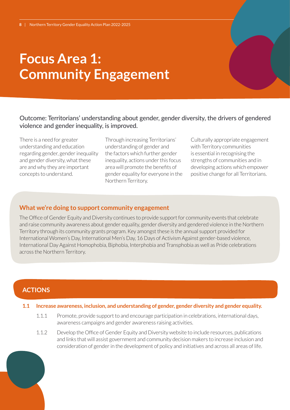# **Focus Area 1: Community Engagement**

### Outcome: Territorians' understanding about gender, gender diversity, the drivers of gendered violence and gender inequality, is improved.

There is a need for greater understanding and education regarding gender, gender inequality and gender diversity, what these are and why they are important concepts to understand.

Through increasing Territorians' understanding of gender and the factors which further gender inequality, actions under this focus area will promote the benefits of gender equality for everyone in the Northern Territory.

Culturally appropriate engagement with Territory communities is essential in recognising the strengths of communities and in developing actions which empower positive change for all Territorians.

#### **What we're doing to support community engagement**

The Office of Gender Equity and Diversity continues to provide support for community events that celebrate and raise community awareness about gender equality, gender diversity and gendered violence in the Northern Territory through its community grants program. Key amongst these is the annual support provided for International Women's Day, International Men's Day, 16 Days of Activism Against gender-based violence, International Day Against Homophobia, Biphobia, Interphobia and Transphobia as well as Pride celebrations across the Northern Territory.

## **ACTIONS**

- **1.1 Increase awareness, inclusion, and understanding of gender, gender diversity and gender equality.**
	- 1.1.1 Promote, provide support to and encourage participation in celebrations, international days, awareness campaigns and gender awareness raising activities.
	- 1.1.2 Develop the Office of Gender Equity and Diversity website to include resources, publications and links that will assist government and community decision makers to increase inclusion and consideration of gender in the development of policy and initiatives and across all areas of life.

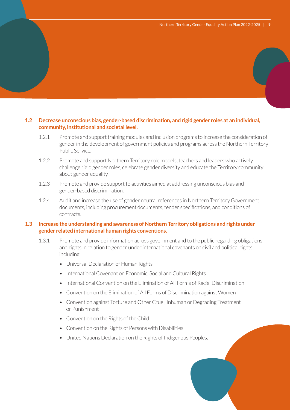#### **1.2 Decrease unconscious bias, gender-based discrimination, and rigid gender roles at an individual, community, institutional and societal level.**

- 1.2.1 Promote and support training modules and inclusion programs to increase the consideration of gender in the development of government policies and programs across the Northern Territory Public Service.
- 1.2.2 Promote and support Northern Territory role models, teachers and leaders who actively challenge rigid gender roles, celebrate gender diversity and educate the Territory community about gender equality.
- 1.2.3 Promote and provide support to activities aimed at addressing unconscious bias and gender-based discrimination.
- 1.2.4 Audit and increase the use of gender neutral references in Northern Territory Government documents, including procurement documents, tender specifications, and conditions of contracts.

#### **1.3 Increase the understanding and awareness of Northern Territory obligations and rights under gender related international human rights conventions.**

- 1.3.1 Promote and provide information across government and to the public regarding obligations and rights in relation to gender under international covenants on civil and political rights including:
	- Universal Declaration of Human Rights
	- International Covenant on Economic, Social and Cultural Rights
	- International Convention on the Elimination of All Forms of Racial Discrimination
	- Convention on the Elimination of All Forms of Discrimination against Women
	- Convention against Torture and Other Cruel, Inhuman or Degrading Treatment or Punishment
	- Convention on the Rights of the Child
	- Convention on the Rights of Persons with Disabilities
	- United Nations Declaration on the Rights of Indigenous Peoples.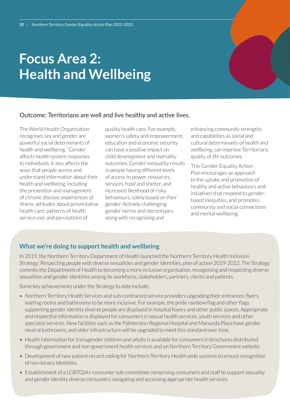# **Focus Area 2: Health and Wellbeing**

### Outcome: Territorians are well and live healthy and active lives.

The World Health Organisation recognises sex and gender are powerful social determinants of health and wellbeing.<sup>7</sup> Gender affects health system responses to individuals, it also affects the ways that people access and understand information about their health and wellbeing, including the prevention and management of chronic disease; experiences of illness; attitudes about preventative health care; patterns of health service use; and perceptions of

quality health care. For example, women's safety and empowerment, education and economic security can have a positive impact on child development and mortality outcomes. Gender inequality results in people having different levels of access to power, resources, services, food and shelter, and increased likelihood of risky behaviours, solely based on their gender. Actively challenging gender norms and stereotypes, along with recognising and

enhancing community strengths and capabilities as social and cultural determinants of health and wellbeing, can improve Territorians' quality of life outcomes.

This Gender Equality Action Plan encourages an approach to the uptake and promotion of healthy and active behaviours and initiatives that respond to genderbased inequities, and promotes community and social connections and mental wellbeing.

# **What we're doing to support health and wellbeing**

In 2019, the Northern Territory Department of Health launched the Northern Territory Health Inclusion Strategy: Respecting people with diverse sexualities and gender identities, plan of action 2019-2022. The Strategy commits the Department of Health to becoming a more inclusive organisation, recognising and respecting diverse sexualities and gender identities among its workforce, stakeholders, partners, clients and patients.

Some key achievements under the Strategy to date include:

- Northern Territory Health Services and sub-contracted service providers upgrading their entrances, flyers, waiting rooms and bathrooms to be more inclusive. For example, the pride rainbow flag and other flags supporting gender identity diverse people are displayed in hospital foyers and other public spaces. Appropriate and respectful information is displayed for consumers in sexual health services, youth services and other specialist services. New facilities such as the Palmerston Regional Hospital and Manunda Place have gender neutral bathrooms, and older infrastructure will be upgraded to meet this standard over time.
- Health information for transgender children and adults is available for consumers in brochures distributed through government and non-government health services and on Northern Territory Government website.
- Development of new patient record coding for Northern Territory Health wide systems to ensure recognition of non-binary identities.
- Establishment of a LGBTQIA+ consumer sub-committee comprising consumers and staff to support sexuality and gender identity diverse consumers navigating and accessing appropriate health services.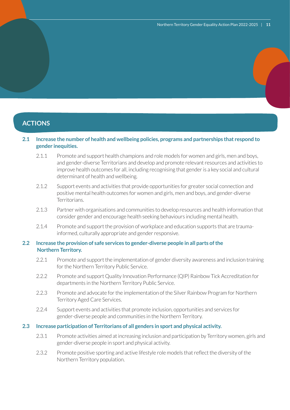# **ACTIONS**

#### **2.1 Increase the number of health and wellbeing policies, programs and partnerships that respond to gender inequities.**

- 2.1.1 Promote and support health champions and role models for women and girls, men and boys, and gender-diverse Territorians and develop and promote relevant resources and activities to improve health outcomes for all, including recognising that gender is a key social and cultural determinant of health and wellbeing.
- 2.1.2 Support events and activities that provide opportunities for greater social connection and positive mental health outcomes for women and girls, men and boys, and gender-diverse Territorians.
- 2.1.3 Partner with organisations and communities to develop resources and health information that consider gender and encourage health seeking behaviours including mental health.
- 2.1.4 Promote and support the provision of workplace and education supports that are traumainformed, culturally appropriate and gender responsive.

#### **2.2 Increase the provision of safe services to gender-diverse people in all parts of the Northern Territory.**

- 2.2.1 Promote and support the implementation of gender diversity awareness and inclusion training for the Northern Territory Public Service.
- 2.2.2 Promote and support Quality Innovation Performance (QIP) Rainbow Tick Accreditation for departments in the Northern Territory Public Service.
- 2.2.3 Promote and advocate for the implementation of the Silver Rainbow Program for Northern Territory Aged Care Services.
- 2.2.4 Support events and activities that promote inclusion, opportunities and services for gender-diverse people and communities in the Northern Territory.

#### **2.3 Increase participation of Territorians of all genders in sport and physical activity.**

- 2.3.1 Promote activities aimed at increasing inclusion and participation by Territory women, girls and gender-diverse people in sport and physical activity.
- 2.3.2 Promote positive sporting and active lifestyle role models that reflect the diversity of the Northern Territory population.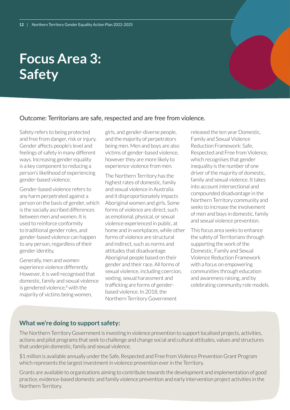# **Focus Area 3: Safety**

Outcome: Territorians are safe, respected and are free from violence.

Safety refers to being protected and free from danger, risk or injury. Gender affects people's level and feelings of safety in many different ways. Increasing gender equality is a key component to reducing a person's likelihood of experiencing gender-based violence.

Gender-based violence refers to any harm perpetrated against a person on the basis of gender, which is the socially ascribed differences between men and women. It is used to reinforce conformity to traditional gender roles, and gender-based violence can happen to any person, regardless of their gender identity.

Generally, men and women experience violence differently. However, it is well recognised that domestic, family and sexual violence is gendered violence,<sup>8</sup> with the majority of victims being women,

girls, and gender-diverse people, and the majority of perpetrators being men. Men and boys are also victims of gender-based violence, however they are more likely to experience violence from men.

The Northern Territory has the highest rates of domestic, family and sexual violence in Australia and it disproportionately impacts Aboriginal women and girls. Some forms of violence are direct, such as emotional, physical, or sexual violence experienced in public, at home and in workplaces, while other forms of violence are structural and indirect, such as norms and attitudes that disadvantage Aboriginal people based on their gender and their race. All forms of sexual violence, including coercion, sexting, sexual harassment and trafficking are forms of genderbased violence. In 2018, the Northern Territory Government

released the ten year Domestic, Family and Sexual Violence Reduction Framework: Safe, Respected and Free from Violence, which recognises that gender inequality is the number of one driver of the majority of domestic, family and sexual violence. It takes into account intersectional and compounded disadvantage in the Northern Territory community and seeks to increase the involvement of men and boys in domestic, family and sexual violence prevention.

This focus area seeks to enhance the safety of Territorians through supporting the work of the Domestic, Family and Sexual Violence Reduction Framework with a focus on empowering communities through education and awareness raising, and by celebrating community role models.

### **What we're doing to support safety:**

The Northern Territory Government is investing in violence prevention to support localised projects, activities, actions and pilot programs that seek to challenge and change social and cultural attitudes, values and structures that underpin domestic, family and sexual violence.

\$1 million is available annually under the Safe, Respected and Free from Violence Prevention Grant Program which represents the largest investment in violence prevention ever in the Territory.

Grants are available to organisations aiming to contribute towards the development and implementation of good practice, evidence-based domestic and family violence prevention and early intervention project activities in the Northern Territory.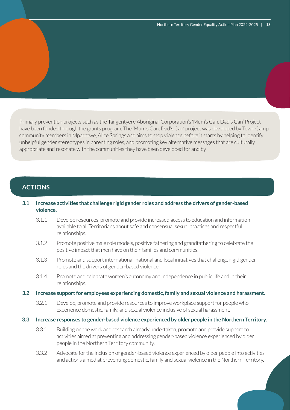Primary prevention projects such as the Tangentyere Aboriginal Corporation's 'Mum's Can, Dad's Can' Project have been funded through the grants program. The 'Mum's Can, Dad's Can' project was developed by Town Camp community members in Mparntwe, Alice Springs and aims to stop violence before it starts by helping to identify unhelpful gender stereotypes in parenting roles, and promoting key alternative messages that are culturally appropriate and resonate with the communities they have been developed for and by.

### **ACTIONS**

#### **3.1 Increase activities that challenge rigid gender roles and address the drivers of gender-based violence.**

- 3.1.1 Develop resources, promote and provide increased access to education and information available to all Territorians about safe and consensual sexual practices and respectful relationships.
- 3.1.2 Promote positive male role models, positive fathering and grandfathering to celebrate the positive impact that men have on their families and communities.
- 3.1.3 Promote and support international, national and local initiatives that challenge rigid gender roles and the drivers of gender-based violence.
- 3.1.4 Promote and celebrate women's autonomy and independence in public life and in their relationships.
- **3.2 Increase support for employees experiencing domestic, family and sexual violence and harassment.**
	- 3.2.1 Develop, promote and provide resources to improve workplace support for people who experience domestic, family, and sexual violence inclusive of sexual harassment.
- **3.3 Increase responses to gender-based violence experienced by older people in the Northern Territory.**
	- 3.3.1 Building on the work and research already undertaken, promote and provide support to activities aimed at preventing and addressing gender-based violence experienced by older people in the Northern Territory community.
	- 3.3.2 Advocate for the inclusion of gender-based violence experienced by older people into activities and actions aimed at preventing domestic, family and sexual violence in the Northern Territory.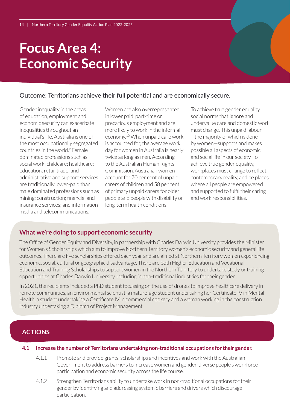# **Focus Area 4: Economic Security**

### Outcome: Territorians achieve their full potential and are economically secure.

Gender inequality in the areas of education, employment and economic security can exacerbate inequalities throughout an individual's life. Australia is one of the most occupationally segregated countries in the world.<sup>9</sup> Female dominated professions such as social work; childcare; healthcare; education; retail trade; and administrative and support services are traditionally lower-paid than male dominated professions such as mining; construction; financial and insurance services; and information media and telecommunications.

Women are also overrepresented in lower paid, part-time or precarious employment and are more likely to work in the informal economy.10 When unpaid care work is accounted for, the average work day for women in Australia is nearly twice as long as men. According to the Australian Human Rights Commission, Australian women account for 70 per cent of unpaid carers of children and 58 per cent of primary unpaid carers for older people and people with disability or long-term health conditions.

To achieve true gender equality, social norms that ignore and undervalue care and domestic work must change. This unpaid labour – the majority of which is done by women—supports and makes possible all aspects of economic and social life in our society. To achieve true gender equality, workplaces must change to reflect contemporary reality, and be places where all people are empowered and supported to fulfil their caring and work responsibilities.

### **What we're doing to support economic security**

The Office of Gender Equity and Diversity, in partnership with Charles Darwin University provides the Minister for Women's Scholarships which aim to improve Northern Territory women's economic security and general life outcomes. There are five scholarships offered each year and are aimed at Northern Territory women experiencing economic, social, cultural or geographic disadvantage. There are both Higher Education and Vocational Education and Training Scholarships to support women in the Northern Territory to undertake study or training opportunities at Charles Darwin University, including in non-traditional industries for their gender.

In 2021, the recipients included a PhD student focussing on the use of drones to improve healthcare delivery in remote communities, an environmental scientist, a mature-age student undertaking her Certificate IV in Mental Health, a student undertaking a Certificate IV in commercial cookery and a woman working in the construction industry undertaking a Diploma of Project Management.

## **ACTIONS**

#### **4.1 Increase the number of Territorians undertaking non-traditional occupations for their gender.**

- 4.1.1 Promote and provide grants, scholarships and incentives and work with the Australian Government to address barriers to increase women and gender-diverse people's workforce participation and economic security across the life course.
- 4.1.2 Strengthen Territorians ability to undertake work in non-traditional occupations for their gender by identifying and addressing systemic barriers and drivers which discourage participation.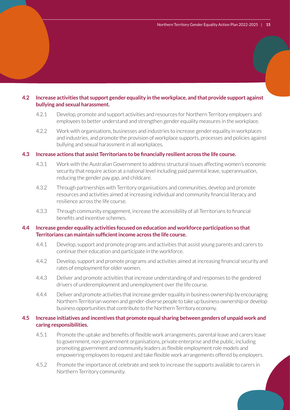#### **4.2 Increase activities that support gender equality in the workplace, and that provide support against bullying and sexual harassment.**

- 4.2.1 Develop, promote and support activities and resources for Northern Territory employers and employees to better understand and strengthen gender equality measures in the workplace.
- 4.2.2 Work with organisations, businesses and industries to increase gender equality in workplaces and industries, and promote the provision of workplace supports, processes and policies against bullying and sexual harassment in all workplaces.

#### **4.3 Increase actions that assist Territorians to be financially resilient across the life course.**

- 4.3.1 Work with the Australian Government to address structural issues affecting women's economic security that require action at a national level including paid parental leave, superannuation, reducing the gender pay gap, and childcare.
- 4.3.2 Through partnerships with Territory organisations and communities, develop and promote resources and activities aimed at increasing individual and community financial literacy and resilience across the life course.
- 4.3.3 Through community engagement, increase the accessibility of all Territorians to financial benefits and incentive schemes.

#### **4.4 Increase gender equality activities focused on education and workforce participation so that Territorians can maintain sufficient income across the life course.**

- 4.4.1 Develop, support and promote programs and activities that assist young parents and carers to continue their education and participate in the workforce.
- 4.4.2 Develop, support and promote programs and activities aimed at increasing financial security and rates of employment for older women.
- 4.4.3 Deliver and promote activities that increase understanding of and responses to the gendered drivers of underemployment and unemployment over the life course.
- 4.4.4 Deliver and promote activities that increase gender equality in business ownership by encouraging Northern Territorian women and gender-diverse people to take up business ownership or develop business opportunities that contribute to the Northern Territory economy.

### **4.5 Increase initiatives and incentives that promote equal sharing between genders of unpaid work and caring responsibilities.**

- 4.5.1 Promote the uptake and benefits of flexible work arrangements, parental leave and carers leave to government, non-government organisations, private enterprise and the public, including promoting government and community leaders as flexible employment role models and empowering employees to request and take flexible work arrangements offered by employers.
- 4.5.2 Promote the importance of, celebrate and seek to increase the supports available to carers in Northern Territory community.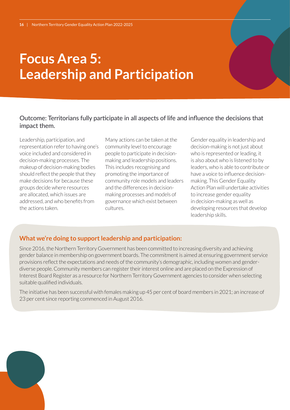# **Focus Area 5: Leadership and Participation**

### Outcome: Territorians fully participate in all aspects of life and influence the decisions that impact them.

Leadership, participation, and representation refer to having one's voice included and considered in decision-making processes. The makeup of decision-making bodies should reflect the people that they make decisions for because these groups decide where resources are allocated, which issues are addressed, and who benefits from the actions taken.

Many actions can be taken at the community level to encourage people to participate in decisionmaking and leadership positions. This includes recognising and promoting the importance of community role models and leaders and the differences in decisionmaking processes and models of governance which exist between cultures.

Gender equality in leadership and decision-making is not just about who is represented or leading, it is also about who is listened to by leaders, who is able to contribute or have a voice to influence decisionmaking. This Gender Equality Action Plan will undertake activities to increase gender equality in decision-making as well as developing resources that develop leadership skills.

## **What we're doing to support leadership and participation:**

Since 2016, the Northern Territory Government has been committed to increasing diversity and achieving gender balance in membership on government boards. The commitment is aimed at ensuring government service provisions reflect the expectations and needs of the community's demographic, including women and genderdiverse people. Community members can register their interest online and are placed on the Expression of Interest Board Register as a resource for Northern Territory Government agencies to consider when selecting suitable qualified individuals.

The initiative has been successful with females making up 45 per cent of board members in 2021; an increase of 23 per cent since reporting commenced in August 2016.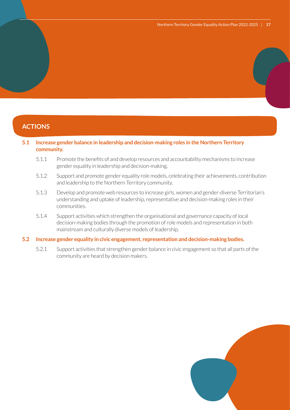# **ACTIONS**

#### **5.1 Increase gender balance in leadership and decision-making roles in the Northern Territory community.**

- 5.1.1 Promote the benefits of and develop resources and accountability mechanisms to increase gender equality in leadership and decision-making.
- 5.1.2 Support and promote gender equality role models, celebrating their achievements, contribution and leadership to the Northern Territory community.
- 5.1.3 Develop and promote web resources to increase girls, women and gender-diverse Territorian's understanding and uptake of leadership, representative and decision-making roles in their communities.
- 5.1.4 Support activities which strengthen the organisational and governance capacity of local decision-making bodies through the promotion of role models and representation in both mainstream and culturally diverse models of leadership.

#### **5.2 Increase gender equality in civic engagement, representation and decision-making bodies.**

5.2.1 Support activities that strengthen gender balance in civic engagement so that all parts of the community are heard by decision makers.

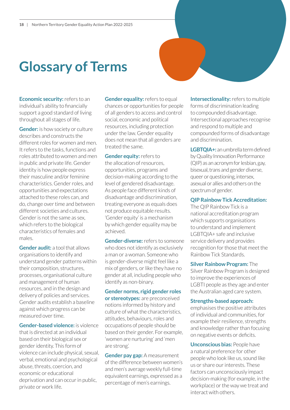# **Glossary of Terms**

**Economic security:** refers to an individual's ability to financially support a good standard of living throughout all stages of life.

**Gender:** is how society or culture describes and constructs the different roles for women and men. It refers to the tasks, functions and roles attributed to women and men in public and private life. Gender identity is how people express their masculine and/or feminine characteristics. Gender roles, and opportunities and expectations attached to these roles can, and do, change over time and between different societies and cultures. Gender is not the same as sex, which refers to the biological characteristics of females and males.

**Gender audit:** a tool that allows organisations to identify and understand gender patterns within their composition, structures, processes, organisational culture and management of human resources, and in the design and delivery of policies and services. Gender audits establish a baseline against which progress can be measured over time.

**Gender-based violence:** is violence that is directed at an individual based on their biological sex or gender identity. This form of violence can include physical, sexual, verbal, emotional and psychological abuse, threats, coercion, and economic or educational deprivation and can occur in public, private or work life.

**Gender equality:** refers to equal chances or opportunities for people of all genders to access and control social, economic and political resources, including protection under the law. Gender equality does not mean that all genders are treated the same.

**Gender equity:** refers to the allocation of resources, opportunities, programs and decision-making according to the level of gendered disadvantage. As people face different kinds of disadvantage and discrimination, treating everyone as equals does not produce equitable results. 'Gender equity' is a mechanism by which gender equality may be achieved.

**Gender-diverse:** refers to someone who does not identify as exclusively a man or a woman. Someone who is gender-diverse might feel like a mix of genders, or like they have no gender at all, including people who identify as non-binary.

**Gender norms, rigid gender roles or stereotypes:** are preconceived notions informed by history and culture of what the characteristics, attitudes, behaviours, roles and occupations of people should be based on their gender. For example, 'women are nurturing' and 'men are strong'.

**Gender pay gap:** A measurement of the difference between women's and men's average weekly full-time equivalent earnings, expressed as a percentage of men's earnings.

**Intersectionality:** refers to multiple forms of discrimination leading to compounded disadvantage. Intersectional approaches recognise and respond to multiple and compounded forms of disadvantage and discrimination.

**LGBTQIA+:** an umbrella term defined by Quality Innovation Performance (QIP) as an acronym for lesbian, gay, bisexual, trans and gender diverse, queer or questioning, intersex, asexual or allies and others on the spectrum of gender.

**QIP Rainbow Tick Accreditation:**

The QIP Rainbow Tick is a national accreditation program which supports organisations to understand and implement LGBTQIA+ safe and inclusive service delivery and provides recognition for those that meet the Rainbow Tick Standards.

**Silver Rainbow Program:** The Silver Rainbow Program is designed to improve the experiences of LGBTI people as they age and enter the Australian aged care system.

#### **Strengths-based approach:**

emphasises the positive attributes of individual and communities, for example their resilience, strengths and knowledge rather than focusing on negative events or deficits.

**Unconscious bias:** People have a natural preference for other people who look like us, sound like us or share our interests. These factors can unconsciously impact decision-making (for example, in the workplace) or the way we treat and interact with others.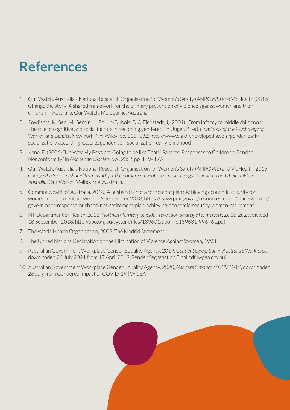# **References**

- 1. Our Watch, Australia's National Research Organisation for Women's Safety (ANROWS) and VicHealth (2015) Change the story: A shared framework for the primary prevention of violence against women and their children in Australia, Our Watch, Melbourne, Australia.
- 2. Powlishta, K., Sen, M., Serbin, L., Poulin-Dubois, D. & Eichstedt, J, (2001) "From infancy to middle childhood: The role of cognitive and social factors in becoming gendered" in Unger, R., ed. *Handbook of the Psychology of Women and Gender*, New York, NY: Wiley; pp. 116- 132, http://www.child-encyclopedia.com/gender-earlysocialization/ according-experts/gender-self-socialization-early-childhood
- 3. Kane, E. (2006) "No Way My Boys are Going to be like That!" Parents' Responses to Children's Gender Nonconformity" in *Gender and Society*, vol. 20: 2, pp. 149- 176.
- 4. Our Watch, Australia's National Research Organisation for Women's Safety (ANROWS) and VicHealth, 2015, *Change the Story: A shared framework for the primary prevention of violence against women and their children in Australia*, Our Watch, Melbourne, Australia.
- 5. Commonwealth of Australia, 2016, 'A husband is not a retirement plan': Achieving economic security for women in retirement, viewed on 6 September 2018, https://www.pmc.gov.au/resource-centre/office-women/ government-response-husband-not-retirement-plan-achieving-economic-security-women-retirement
- 6. NT Department of Health, 2018, *Northern Territory Suicide Prevention Strategic Framework, 2018-2023*, viewed 18 September 2018, http://apo.org.au/system/files/189631/apo-nid189631-996761.pdf
- 7. The World Health Organisation, 2002, The Madrid Statement
- 8. The United Nations Declaration on the Elimination of Violence Against Women, 1993
- 9. Australian Government Workplace Gender Equality Agency, 2019, *Gender Segregation in Australia's Workforce*, downloaded 26 July 2021 from 17 April 2019 Gender Segregation Final.pdf (wgea.gov.au)
- 10. Australian Government Workplace Gender Equality Agency, 2020, *Gendered impact of COVID-19*, downloaded 26 July from Gendered impact of COVID-19 | WGEA